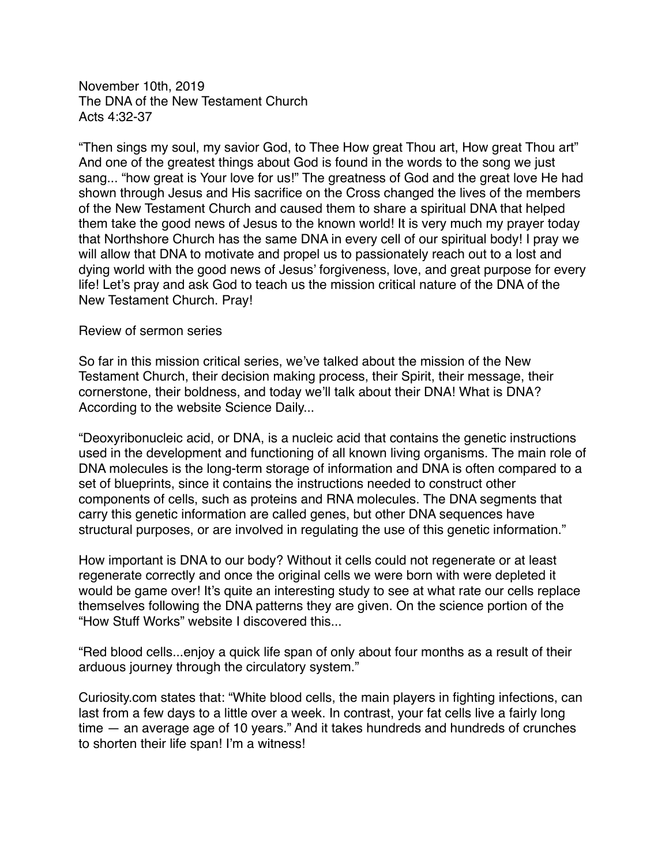November 10th, 2019 The DNA of the New Testament Church Acts 4:32-37

"Then sings my soul, my savior God, to Thee How great Thou art, How great Thou art" And one of the greatest things about God is found in the words to the song we just sang... "how great is Your love for us!" The greatness of God and the great love He had shown through Jesus and His sacrifice on the Cross changed the lives of the members of the New Testament Church and caused them to share a spiritual DNA that helped them take the good news of Jesus to the known world! It is very much my prayer today that Northshore Church has the same DNA in every cell of our spiritual body! I pray we will allow that DNA to motivate and propel us to passionately reach out to a lost and dying world with the good news of Jesus' forgiveness, love, and great purpose for every life! Let's pray and ask God to teach us the mission critical nature of the DNA of the New Testament Church. Pray!

#### Review of sermon series

So far in this mission critical series, we've talked about the mission of the New Testament Church, their decision making process, their Spirit, their message, their cornerstone, their boldness, and today we'll talk about their DNA! What is DNA? According to the website Science Daily...

"Deoxyribonucleic acid, or DNA, is a nucleic acid that contains the genetic instructions used in the development and functioning of all known living organisms. The main role of DNA molecules is the long-term storage of information and DNA is often compared to a set of blueprints, since it contains the instructions needed to construct other components of cells, such as proteins and RNA molecules. The DNA segments that carry this genetic information are called genes, but other DNA sequences have structural purposes, or are involved in regulating the use of this genetic information."

How important is DNA to our body? Without it cells could not regenerate or at least regenerate correctly and once the original cells we were born with were depleted it would be game over! It's quite an interesting study to see at what rate our cells replace themselves following the DNA patterns they are given. On the science portion of the "How Stuff Works" website I discovered this...

"Red blood cells...enjoy a quick life span of only about four months as a result of their arduous journey through the circulatory system."

Curiosity.com states that: "White blood cells, the main players in fighting infections, can last from a few days to a little over a week. In contrast, your fat cells live a fairly long time — an average age of 10 years." And it takes hundreds and hundreds of crunches to shorten their life span! I'm a witness!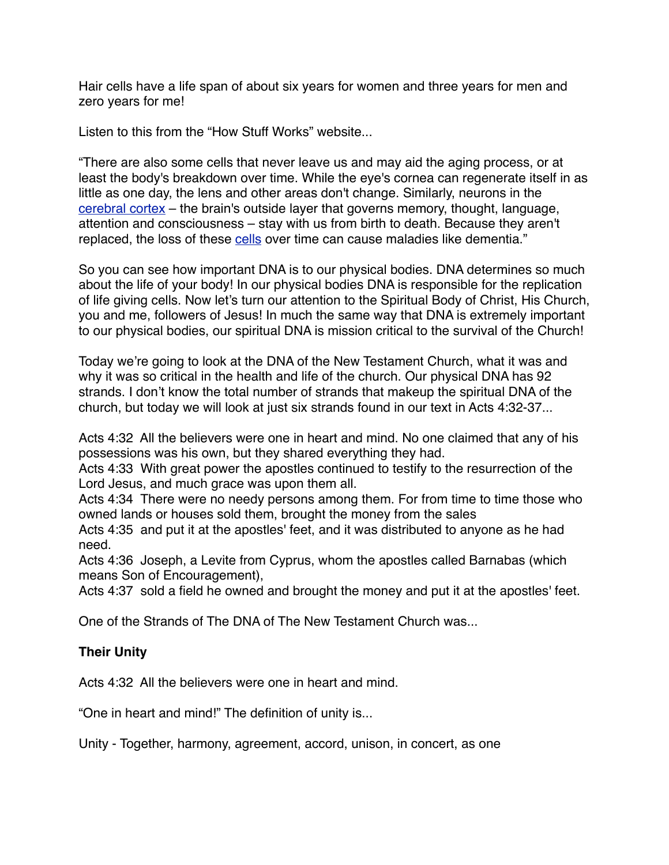Hair cells have a life span of about six years for women and three years for men and zero years for me!

Listen to this from the "How Stuff Works" website...

"There are also some cells that never leave us and may aid the aging process, or at least the body's breakdown over time. While the eye's cornea can regenerate itself in as little as one day, the lens and other areas don't change. Similarly, neurons in the [cerebral cortex](https://science.howstuffworks.com/life/inside-the-mind/human-brain/brain.htm) – the brain's outside layer that governs memory, thought, language, attention and consciousness – stay with us from birth to death. Because they aren't replaced, the loss of these [cells](https://science.howstuffworks.com/life/cellular-microscopic/cell.htm) over time can cause maladies like dementia."

So you can see how important DNA is to our physical bodies. DNA determines so much about the life of your body! In our physical bodies DNA is responsible for the replication of life giving cells. Now let's turn our attention to the Spiritual Body of Christ, His Church, you and me, followers of Jesus! In much the same way that DNA is extremely important to our physical bodies, our spiritual DNA is mission critical to the survival of the Church!

Today we're going to look at the DNA of the New Testament Church, what it was and why it was so critical in the health and life of the church. Our physical DNA has 92 strands. I don't know the total number of strands that makeup the spiritual DNA of the church, but today we will look at just six strands found in our text in Acts 4:32-37...

Acts 4:32 All the believers were one in heart and mind. No one claimed that any of his possessions was his own, but they shared everything they had.

Acts 4:33 With great power the apostles continued to testify to the resurrection of the Lord Jesus, and much grace was upon them all.

Acts 4:34 There were no needy persons among them. For from time to time those who owned lands or houses sold them, brought the money from the sales

Acts 4:35 and put it at the apostles' feet, and it was distributed to anyone as he had need.

Acts 4:36 Joseph, a Levite from Cyprus, whom the apostles called Barnabas (which means Son of Encouragement),

Acts 4:37 sold a field he owned and brought the money and put it at the apostles' feet.

One of the Strands of The DNA of The New Testament Church was...

## **Their Unity**

Acts 4:32 All the believers were one in heart and mind.

"One in heart and mind!" The definition of unity is...

Unity - Together, harmony, agreement, accord, unison, in concert, as one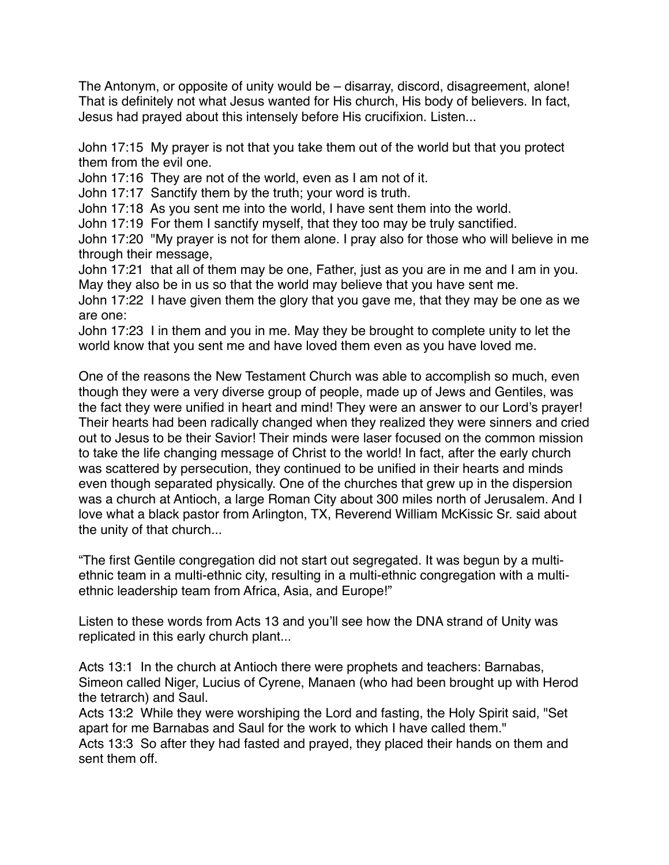The Antonym, or opposite of unity would be – disarray, discord, disagreement, alone! That is definitely not what Jesus wanted for His church, His body of believers. In fact, Jesus had prayed about this intensely before His crucifixion. Listen...

John 17:15 My prayer is not that you take them out of the world but that you protect them from the evil one.

John 17:16 They are not of the world, even as I am not of it.

John 17:17 Sanctify them by the truth; your word is truth.

John 17:18 As you sent me into the world, I have sent them into the world.

John 17:19 For them I sanctify myself, that they too may be truly sanctified.

John 17:20 "My prayer is not for them alone. I pray also for those who will believe in me through their message,

John 17:21 that all of them may be one, Father, just as you are in me and I am in you. May they also be in us so that the world may believe that you have sent me.

John 17:22 I have given them the glory that you gave me, that they may be one as we are one:

John 17:23 I in them and you in me. May they be brought to complete unity to let the world know that you sent me and have loved them even as you have loved me.

One of the reasons the New Testament Church was able to accomplish so much, even though they were a very diverse group of people, made up of Jews and Gentiles, was the fact they were unified in heart and mind! They were an answer to our Lord's prayer! Their hearts had been radically changed when they realized they were sinners and cried out to Jesus to be their Savior! Their minds were laser focused on the common mission to take the life changing message of Christ to the world! In fact, after the early church was scattered by persecution, they continued to be unified in their hearts and minds even though separated physically. One of the churches that grew up in the dispersion was a church at Antioch, a large Roman City about 300 miles north of Jerusalem. And I love what a black pastor from Arlington, TX, Reverend William McKissic Sr. said about the unity of that church...

"The first Gentile congregation did not start out segregated. It was begun by a multiethnic team in a multi-ethnic city, resulting in a multi-ethnic congregation with a multiethnic leadership team from Africa, Asia, and Europe!"

Listen to these words from Acts 13 and you'll see how the DNA strand of Unity was replicated in this early church plant...

Acts 13:1 In the church at Antioch there were prophets and teachers: Barnabas, Simeon called Niger, Lucius of Cyrene, Manaen (who had been brought up with Herod the tetrarch) and Saul.

Acts 13:2 While they were worshiping the Lord and fasting, the Holy Spirit said, "Set apart for me Barnabas and Saul for the work to which I have called them."

Acts 13:3 So after they had fasted and prayed, they placed their hands on them and sent them off.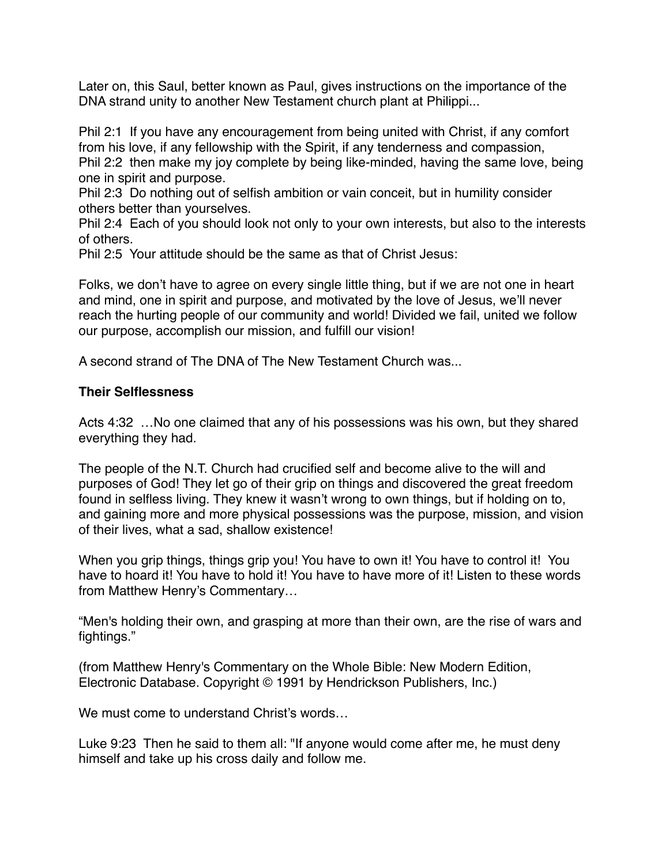Later on, this Saul, better known as Paul, gives instructions on the importance of the DNA strand unity to another New Testament church plant at Philippi...

Phil 2:1 If you have any encouragement from being united with Christ, if any comfort from his love, if any fellowship with the Spirit, if any tenderness and compassion, Phil 2:2 then make my joy complete by being like-minded, having the same love, being one in spirit and purpose.

Phil 2:3 Do nothing out of selfish ambition or vain conceit, but in humility consider others better than yourselves.

Phil 2:4 Each of you should look not only to your own interests, but also to the interests of others.

Phil 2:5 Your attitude should be the same as that of Christ Jesus:

Folks, we don't have to agree on every single little thing, but if we are not one in heart and mind, one in spirit and purpose, and motivated by the love of Jesus, we'll never reach the hurting people of our community and world! Divided we fail, united we follow our purpose, accomplish our mission, and fulfill our vision!

A second strand of The DNA of The New Testament Church was...

### **Their Selflessness**

Acts 4:32 …No one claimed that any of his possessions was his own, but they shared everything they had.

The people of the N.T. Church had crucified self and become alive to the will and purposes of God! They let go of their grip on things and discovered the great freedom found in selfless living. They knew it wasn't wrong to own things, but if holding on to, and gaining more and more physical possessions was the purpose, mission, and vision of their lives, what a sad, shallow existence!

When you grip things, things grip you! You have to own it! You have to control it! You have to hoard it! You have to hold it! You have to have more of it! Listen to these words from Matthew Henry's Commentary…

"Men's holding their own, and grasping at more than their own, are the rise of wars and fightings."

(from Matthew Henry's Commentary on the Whole Bible: New Modern Edition, Electronic Database. Copyright © 1991 by Hendrickson Publishers, Inc.)

We must come to understand Christ's words...

Luke 9:23 Then he said to them all: "If anyone would come after me, he must deny himself and take up his cross daily and follow me.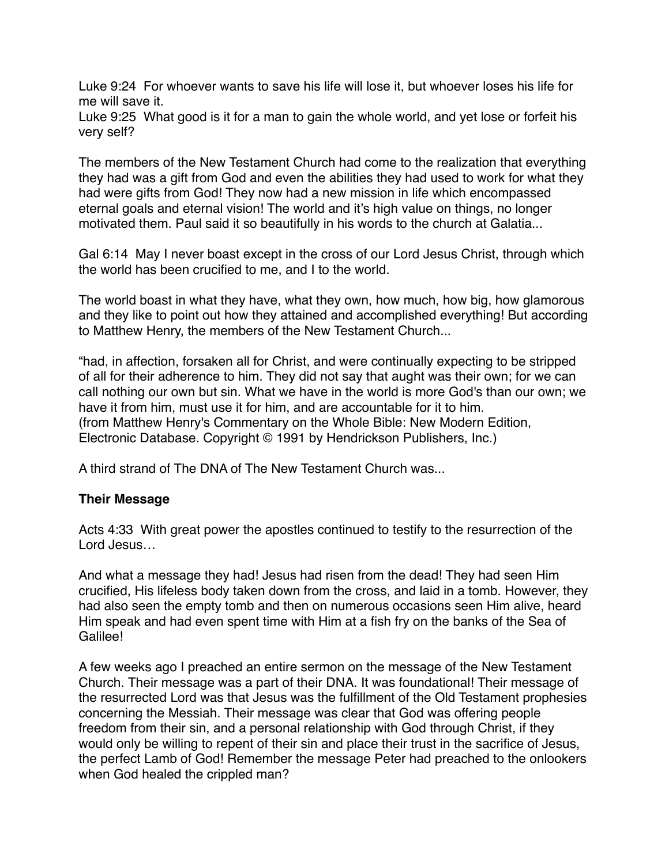Luke 9:24 For whoever wants to save his life will lose it, but whoever loses his life for me will save it.

Luke 9:25 What good is it for a man to gain the whole world, and yet lose or forfeit his very self?

The members of the New Testament Church had come to the realization that everything they had was a gift from God and even the abilities they had used to work for what they had were gifts from God! They now had a new mission in life which encompassed eternal goals and eternal vision! The world and it's high value on things, no longer motivated them. Paul said it so beautifully in his words to the church at Galatia...

Gal 6:14 May I never boast except in the cross of our Lord Jesus Christ, through which the world has been crucified to me, and I to the world.

The world boast in what they have, what they own, how much, how big, how glamorous and they like to point out how they attained and accomplished everything! But according to Matthew Henry, the members of the New Testament Church...

"had, in affection, forsaken all for Christ, and were continually expecting to be stripped of all for their adherence to him. They did not say that aught was their own; for we can call nothing our own but sin. What we have in the world is more God's than our own; we have it from him, must use it for him, and are accountable for it to him. (from Matthew Henry's Commentary on the Whole Bible: New Modern Edition, Electronic Database. Copyright © 1991 by Hendrickson Publishers, Inc.)

A third strand of The DNA of The New Testament Church was...

### **Their Message**

Acts 4:33 With great power the apostles continued to testify to the resurrection of the Lord Jesus…

And what a message they had! Jesus had risen from the dead! They had seen Him crucified, His lifeless body taken down from the cross, and laid in a tomb. However, they had also seen the empty tomb and then on numerous occasions seen Him alive, heard Him speak and had even spent time with Him at a fish fry on the banks of the Sea of Galilee!

A few weeks ago I preached an entire sermon on the message of the New Testament Church. Their message was a part of their DNA. It was foundational! Their message of the resurrected Lord was that Jesus was the fulfillment of the Old Testament prophesies concerning the Messiah. Their message was clear that God was offering people freedom from their sin, and a personal relationship with God through Christ, if they would only be willing to repent of their sin and place their trust in the sacrifice of Jesus, the perfect Lamb of God! Remember the message Peter had preached to the onlookers when God healed the crippled man?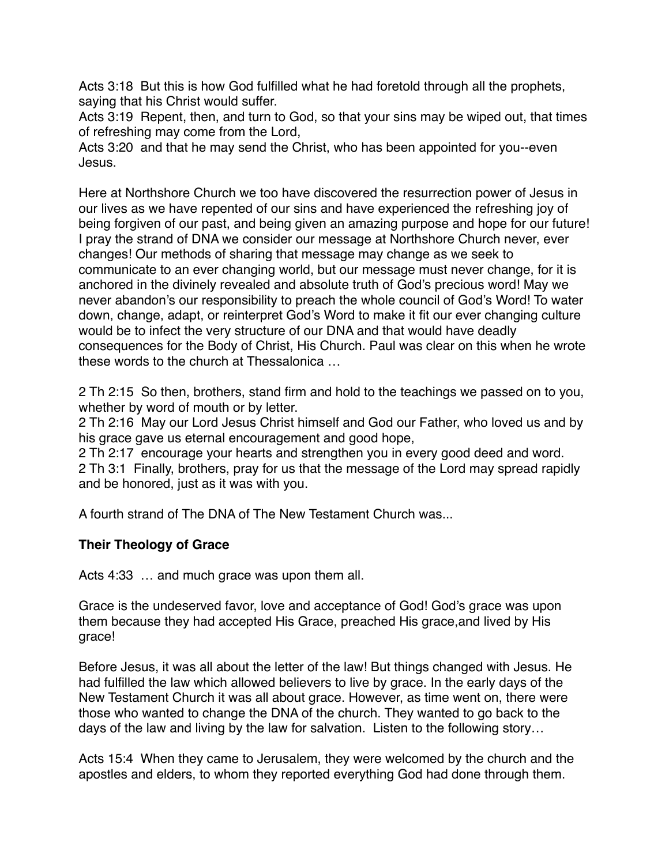Acts 3:18 But this is how God fulfilled what he had foretold through all the prophets, saying that his Christ would suffer.

Acts 3:19 Repent, then, and turn to God, so that your sins may be wiped out, that times of refreshing may come from the Lord,

Acts 3:20 and that he may send the Christ, who has been appointed for you--even Jesus.

Here at Northshore Church we too have discovered the resurrection power of Jesus in our lives as we have repented of our sins and have experienced the refreshing joy of being forgiven of our past, and being given an amazing purpose and hope for our future! I pray the strand of DNA we consider our message at Northshore Church never, ever changes! Our methods of sharing that message may change as we seek to communicate to an ever changing world, but our message must never change, for it is anchored in the divinely revealed and absolute truth of God's precious word! May we never abandon's our responsibility to preach the whole council of God's Word! To water down, change, adapt, or reinterpret God's Word to make it fit our ever changing culture would be to infect the very structure of our DNA and that would have deadly consequences for the Body of Christ, His Church. Paul was clear on this when he wrote these words to the church at Thessalonica …

2 Th 2:15 So then, brothers, stand firm and hold to the teachings we passed on to you, whether by word of mouth or by letter.

2 Th 2:16 May our Lord Jesus Christ himself and God our Father, who loved us and by his grace gave us eternal encouragement and good hope,

2 Th 2:17 encourage your hearts and strengthen you in every good deed and word. 2 Th 3:1 Finally, brothers, pray for us that the message of the Lord may spread rapidly and be honored, just as it was with you.

A fourth strand of The DNA of The New Testament Church was...

# **Their Theology of Grace**

Acts 4:33 … and much grace was upon them all.

Grace is the undeserved favor, love and acceptance of God! God's grace was upon them because they had accepted His Grace, preached His grace,and lived by His grace!

Before Jesus, it was all about the letter of the law! But things changed with Jesus. He had fulfilled the law which allowed believers to live by grace. In the early days of the New Testament Church it was all about grace. However, as time went on, there were those who wanted to change the DNA of the church. They wanted to go back to the days of the law and living by the law for salvation. Listen to the following story…

Acts 15:4 When they came to Jerusalem, they were welcomed by the church and the apostles and elders, to whom they reported everything God had done through them.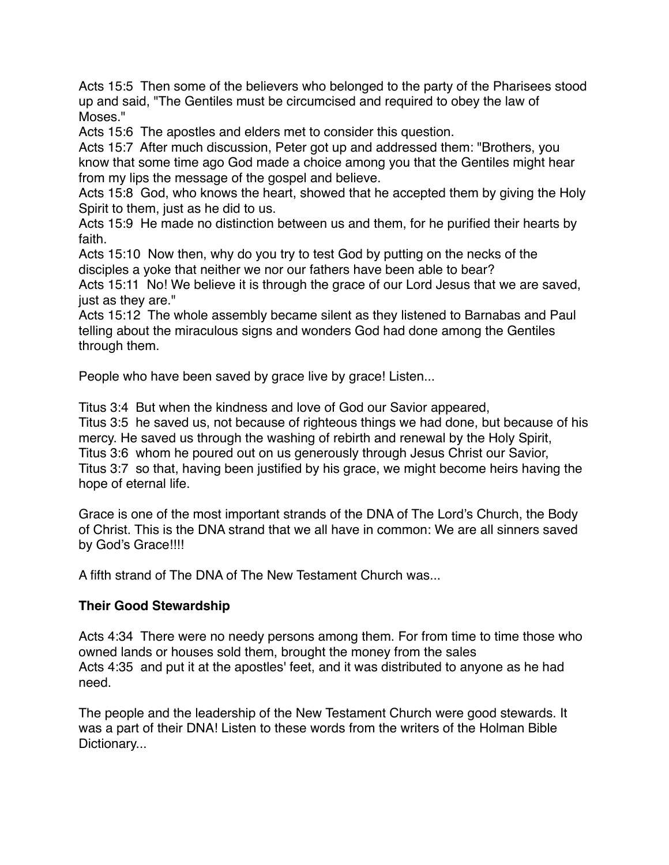Acts 15:5 Then some of the believers who belonged to the party of the Pharisees stood up and said, "The Gentiles must be circumcised and required to obey the law of Moses."

Acts 15:6 The apostles and elders met to consider this question.

Acts 15:7 After much discussion, Peter got up and addressed them: "Brothers, you know that some time ago God made a choice among you that the Gentiles might hear from my lips the message of the gospel and believe.

Acts 15:8 God, who knows the heart, showed that he accepted them by giving the Holy Spirit to them, just as he did to us.

Acts 15:9 He made no distinction between us and them, for he purified their hearts by faith.

Acts 15:10 Now then, why do you try to test God by putting on the necks of the disciples a yoke that neither we nor our fathers have been able to bear?

Acts 15:11 No! We believe it is through the grace of our Lord Jesus that we are saved, just as they are."

Acts 15:12 The whole assembly became silent as they listened to Barnabas and Paul telling about the miraculous signs and wonders God had done among the Gentiles through them.

People who have been saved by grace live by grace! Listen...

Titus 3:4 But when the kindness and love of God our Savior appeared, Titus 3:5 he saved us, not because of righteous things we had done, but because of his

mercy. He saved us through the washing of rebirth and renewal by the Holy Spirit, Titus 3:6 whom he poured out on us generously through Jesus Christ our Savior, Titus 3:7 so that, having been justified by his grace, we might become heirs having the hope of eternal life.

Grace is one of the most important strands of the DNA of The Lord's Church, the Body of Christ. This is the DNA strand that we all have in common: We are all sinners saved by God's Grace!!!!

A fifth strand of The DNA of The New Testament Church was...

## **Their Good Stewardship**

Acts 4:34 There were no needy persons among them. For from time to time those who owned lands or houses sold them, brought the money from the sales Acts 4:35 and put it at the apostles' feet, and it was distributed to anyone as he had need.

The people and the leadership of the New Testament Church were good stewards. It was a part of their DNA! Listen to these words from the writers of the Holman Bible Dictionary...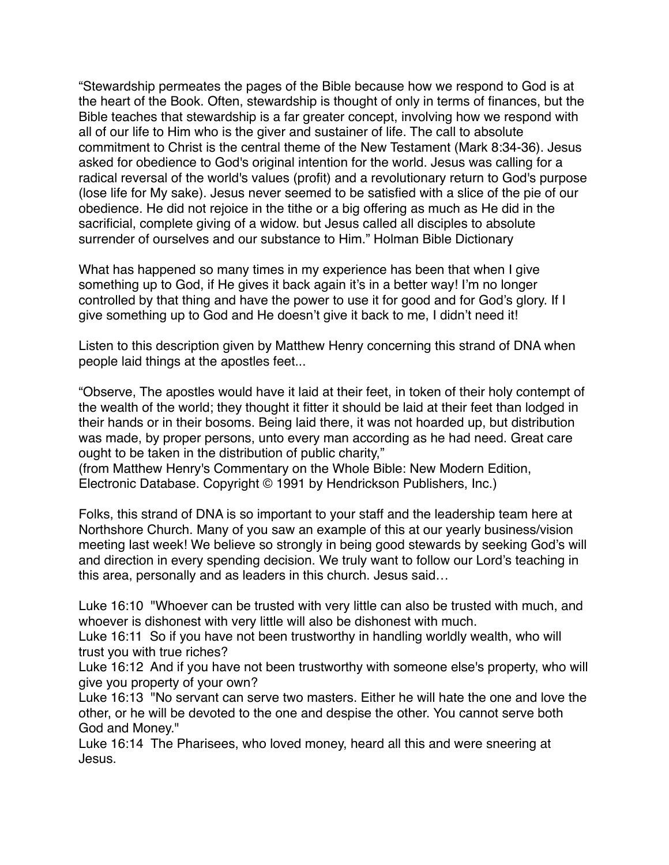"Stewardship permeates the pages of the Bible because how we respond to God is at the heart of the Book. Often, stewardship is thought of only in terms of finances, but the Bible teaches that stewardship is a far greater concept, involving how we respond with all of our life to Him who is the giver and sustainer of life. The call to absolute commitment to Christ is the central theme of the New Testament (Mark 8:34-36). Jesus asked for obedience to God's original intention for the world. Jesus was calling for a radical reversal of the world's values (profit) and a revolutionary return to God's purpose (lose life for My sake). Jesus never seemed to be satisfied with a slice of the pie of our obedience. He did not rejoice in the tithe or a big offering as much as He did in the sacrificial, complete giving of a widow. but Jesus called all disciples to absolute surrender of ourselves and our substance to Him." Holman Bible Dictionary

What has happened so many times in my experience has been that when I give something up to God, if He gives it back again it's in a better way! I'm no longer controlled by that thing and have the power to use it for good and for God's glory. If I give something up to God and He doesn't give it back to me, I didn't need it!

Listen to this description given by Matthew Henry concerning this strand of DNA when people laid things at the apostles feet...

"Observe, The apostles would have it laid at their feet, in token of their holy contempt of the wealth of the world; they thought it fitter it should be laid at their feet than lodged in their hands or in their bosoms. Being laid there, it was not hoarded up, but distribution was made, by proper persons, unto every man according as he had need. Great care ought to be taken in the distribution of public charity,"

(from Matthew Henry's Commentary on the Whole Bible: New Modern Edition, Electronic Database. Copyright © 1991 by Hendrickson Publishers, Inc.)

Folks, this strand of DNA is so important to your staff and the leadership team here at Northshore Church. Many of you saw an example of this at our yearly business/vision meeting last week! We believe so strongly in being good stewards by seeking God's will and direction in every spending decision. We truly want to follow our Lord's teaching in this area, personally and as leaders in this church. Jesus said…

Luke 16:10 "Whoever can be trusted with very little can also be trusted with much, and whoever is dishonest with very little will also be dishonest with much.

Luke 16:11 So if you have not been trustworthy in handling worldly wealth, who will trust you with true riches?

Luke 16:12 And if you have not been trustworthy with someone else's property, who will give you property of your own?

Luke 16:13 "No servant can serve two masters. Either he will hate the one and love the other, or he will be devoted to the one and despise the other. You cannot serve both God and Money."

Luke 16:14 The Pharisees, who loved money, heard all this and were sneering at Jesus.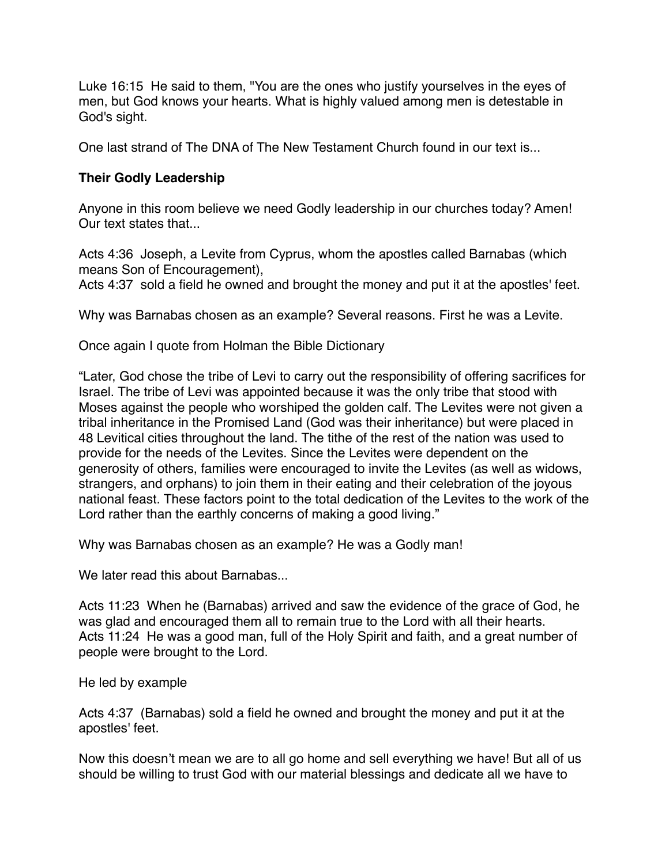Luke 16:15 He said to them, "You are the ones who justify yourselves in the eyes of men, but God knows your hearts. What is highly valued among men is detestable in God's sight.

One last strand of The DNA of The New Testament Church found in our text is...

## **Their Godly Leadership**

Anyone in this room believe we need Godly leadership in our churches today? Amen! Our text states that...

Acts 4:36 Joseph, a Levite from Cyprus, whom the apostles called Barnabas (which means Son of Encouragement),

Acts 4:37 sold a field he owned and brought the money and put it at the apostles' feet.

Why was Barnabas chosen as an example? Several reasons. First he was a Levite.

Once again I quote from Holman the Bible Dictionary

"Later, God chose the tribe of Levi to carry out the responsibility of offering sacrifices for Israel. The tribe of Levi was appointed because it was the only tribe that stood with Moses against the people who worshiped the golden calf. The Levites were not given a tribal inheritance in the Promised Land (God was their inheritance) but were placed in 48 Levitical cities throughout the land. The tithe of the rest of the nation was used to provide for the needs of the Levites. Since the Levites were dependent on the generosity of others, families were encouraged to invite the Levites (as well as widows, strangers, and orphans) to join them in their eating and their celebration of the joyous national feast. These factors point to the total dedication of the Levites to the work of the Lord rather than the earthly concerns of making a good living."

Why was Barnabas chosen as an example? He was a Godly man!

We later read this about Barnabas...

Acts 11:23 When he (Barnabas) arrived and saw the evidence of the grace of God, he was glad and encouraged them all to remain true to the Lord with all their hearts. Acts 11:24 He was a good man, full of the Holy Spirit and faith, and a great number of people were brought to the Lord.

He led by example

Acts 4:37 (Barnabas) sold a field he owned and brought the money and put it at the apostles' feet.

Now this doesn't mean we are to all go home and sell everything we have! But all of us should be willing to trust God with our material blessings and dedicate all we have to